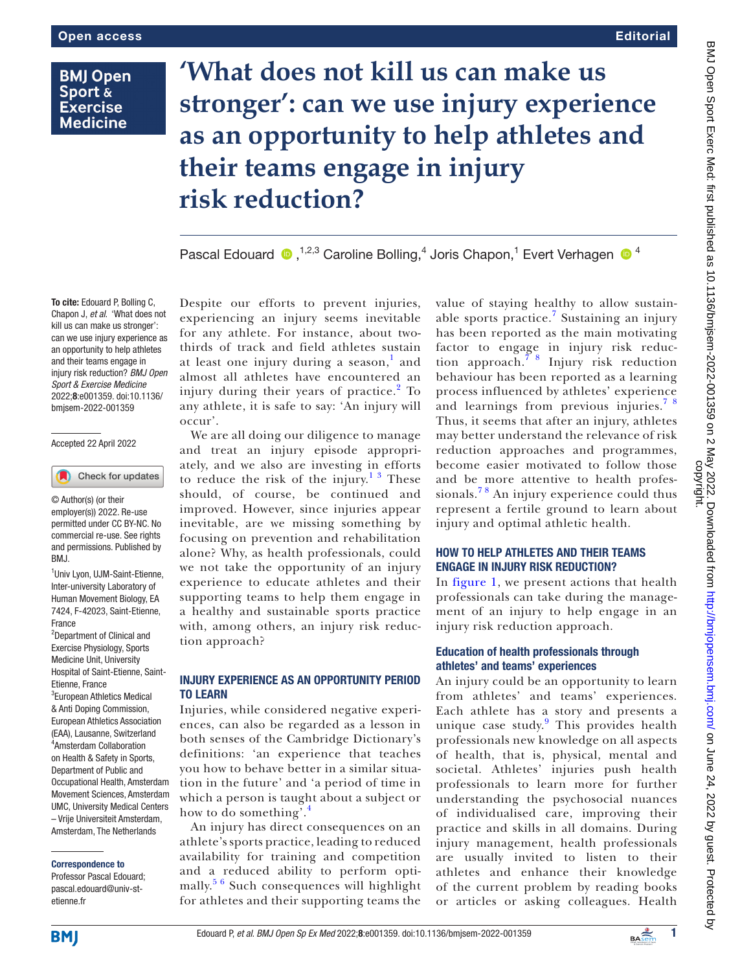# **BMJ Open Sport & Exercise Medicine**

# **'What does not kill us can make us stronger': can we use injury experience as an opportunity to help athletes and their teams engage in injury risk reduction?**

PascalEdouard  $\bullet$ , <sup>1,2,3</sup> Caroline Bolling, 4 Joris Chapon, <sup>1</sup> Evert Verhagen  $\bullet$  <sup>4</sup>

To cite: Edouard P, Bolling C, Chapon J, *et al*. 'What does not kill us can make us stronger': can we use injury experience as an opportunity to help athletes and their teams engage in injury risk reduction? *BMJ Open Sport & Exercise Medicine* 2022;8:e001359. doi:10.1136/ bmjsem-2022-001359

#### Accepted 22 April 2022

Check for updates

© Author(s) (or their employer(s)) 2022. Re-use permitted under CC BY-NC. No commercial re-use. See rights and permissions. Published by BMJ.

1 Univ Lyon, UJM-Saint-Etienne, Inter-university Laboratory of Human Movement Biology, EA 7424, F-42023, Saint-Etienne, France

2 Department of Clinical and Exercise Physiology, Sports Medicine Unit, University Hospital of Saint-Etienne, Saint-Etienne, France <sup>3</sup>European Athletics Medical & Anti Doping Commission, European Athletics Association (EAA), Lausanne, Switzerland 4 Amsterdam Collaboration on Health & Safety in Sports, Department of Public and Occupational Health, Amsterdam Movement Sciences, Amsterdam UMC, University Medical Centers – Vrije Universiteit Amsterdam, Amsterdam, The Netherlands

#### Correspondence to

Professor Pascal Edouard; pascal.edouard@univ-stetienne fr

Despite our efforts to prevent injuries, experiencing an injury seems inevitable for any athlete. For instance, about twothirds of track and field athletes sustain at least one injury during a season,<sup>[1](#page-1-0)</sup> and almost all athletes have encountered an injury during their years of practice.<sup>[2](#page-1-1)</sup> To any athlete, it is safe to say: 'An injury will occur'.

We are all doing our diligence to manage and treat an injury episode appropriately, and we also are investing in efforts to reduce the risk of the injury.<sup>13</sup> These should, of course, be continued and improved. However, since injuries appear inevitable, are we missing something by focusing on prevention and rehabilitation alone? Why, as health professionals, could we not take the opportunity of an injury experience to educate athletes and their supporting teams to help them engage in a healthy and sustainable sports practice with, among others, an injury risk reduction approach?

#### INJURY EXPERIENCE AS AN OPPORTUNITY PERIOD TO LEARN

Injuries, while considered negative experiences, can also be regarded as a lesson in both senses of the Cambridge Dictionary's definitions: 'an experience that teaches you how to behave better in a similar situation in the future' and 'a period of time in which a person is taught about a subject or how to do something'.<sup>[4](#page-2-0)</sup>

An injury has direct consequences on an athlete's sports practice, leading to reduced availability for training and competition and a reduced ability to perform optimally. $56$  Such consequences will highlight for athletes and their supporting teams the

value of staying healthy to allow sustain-able sports practice.<sup>[7](#page-2-2)</sup> Sustaining an injury has been reported as the main motivating factor to engage in injury risk reduction approach.[7 8](#page-2-2) Injury risk reduction behaviour has been reported as a learning process influenced by athletes' experience and learnings from previous injuries.[7 8](#page-2-2) Thus, it seems that after an injury, athletes may better understand the relevance of risk reduction approaches and programmes, become easier motivated to follow those and be more attentive to health professionals.<sup>78</sup> An injury experience could thus represent a fertile ground to learn about injury and optimal athletic health.

### HOW TO HELP ATHLETES AND THEIR TEAMS ENGAGE IN INJURY RISK REDUCTION?

In [figure](#page-1-2) 1, we present actions that health professionals can take during the management of an injury to help engage in an injury risk reduction approach.

#### Education of health professionals through athletes' and teams' experiences

An injury could be an opportunity to learn from athletes' and teams' experiences. Each athlete has a story and presents a unique case study.<sup>[9](#page-2-3)</sup> This provides health professionals new knowledge on all aspects of health, that is, physical, mental and societal. Athletes' injuries push health professionals to learn more for further understanding the psychosocial nuances of individualised care, improving their practice and skills in all domains. During injury management, health professionals are usually invited to listen to their athletes and enhance their knowledge of the current problem by reading books or articles or asking colleagues. Health

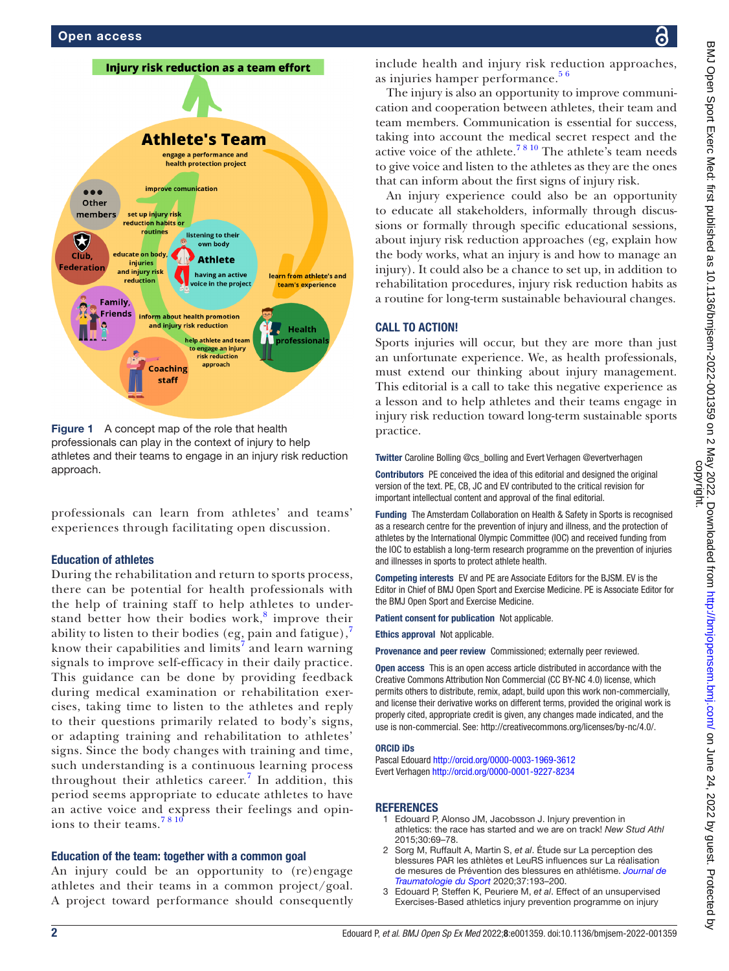

<span id="page-1-2"></span>Figure 1 A concept map of the role that health professionals can play in the context of injury to help athletes and their teams to engage in an injury risk reduction approach.

professionals can learn from athletes' and teams' experiences through facilitating open discussion.

#### Education of athletes

During the rehabilitation and return to sports process, there can be potential for health professionals with the help of training staff to help athletes to under-stand better how their bodies work,<sup>[8](#page-2-4)</sup> improve their ability to listen to their bodies (eg, pain and fatigue), know their capabilities and limits<sup>[7](#page-2-2)</sup> and learn warning signals to improve self-efficacy in their daily practice. This guidance can be done by providing feedback during medical examination or rehabilitation exercises, taking time to listen to the athletes and reply to their questions primarily related to body's signs, or adapting training and rehabilitation to athletes' signs. Since the body changes with training and time, such understanding is a continuous learning process throughout their athletics career.<sup>[7](#page-2-2)</sup> In addition, this period seems appropriate to educate athletes to have an active voice and express their feelings and opinions to their teams.<sup>7810</sup>

#### Education of the team: together with a common goal

An injury could be an opportunity to (re)engage athletes and their teams in a common project/goal. A project toward performance should consequently

include health and injury risk reduction approaches, as injuries hamper performance. $5<sup>6</sup>$ 

The injury is also an opportunity to improve communication and cooperation between athletes, their team and team members. Communication is essential for success, taking into account the medical secret respect and the active voice of the athlete.<sup>78 10</sup> The athlete's team needs to give voice and listen to the athletes as they are the ones that can inform about the first signs of injury risk.

An injury experience could also be an opportunity to educate all stakeholders, informally through discussions or formally through specific educational sessions, about injury risk reduction approaches (eg, explain how the body works, what an injury is and how to manage an injury). It could also be a chance to set up, in addition to rehabilitation procedures, injury risk reduction habits as a routine for long-term sustainable behavioural changes.

#### CALL TO ACTION!

Sports injuries will occur, but they are more than just an unfortunate experience. We, as health professionals, must extend our thinking about injury management. This editorial is a call to take this negative experience as a lesson and to help athletes and their teams engage in injury risk reduction toward long-term sustainable sports practice.

Twitter Caroline Bolling [@cs\\_bolling](https://twitter.com/cs_bolling) and Evert Verhagen [@evertverhagen](https://twitter.com/evertverhagen)

Contributors PE conceived the idea of this editorial and designed the original version of the text. PE, CB, JC and EV contributed to the critical revision for important intellectual content and approval of the final editorial.

Funding The Amsterdam Collaboration on Health & Safety in Sports is recognised as a research centre for the prevention of injury and illness, and the protection of athletes by the International Olympic Committee (IOC) and received funding from the IOC to establish a long-term research programme on the prevention of injuries and illnesses in sports to protect athlete health.

Competing interests EV and PE are Associate Editors for the BJSM. EV is the Editor in Chief of BMJ Open Sport and Exercise Medicine. PE is Associate Editor for the BMJ Open Sport and Exercise Medicine.

Patient consent for publication Not applicable.

Ethics approval Not applicable.

Provenance and peer review Commissioned; externally peer reviewed.

Open access This is an open access article distributed in accordance with the Creative Commons Attribution Non Commercial (CC BY-NC 4.0) license, which permits others to distribute, remix, adapt, build upon this work non-commercially, and license their derivative works on different terms, provided the original work is properly cited, appropriate credit is given, any changes made indicated, and the use is non-commercial. See:<http://creativecommons.org/licenses/by-nc/4.0/>.

#### ORCID iDs

Pascal Edouard<http://orcid.org/0000-0003-1969-3612> Evert Verhagen<http://orcid.org/0000-0001-9227-8234>

#### REFERENCES

- <span id="page-1-0"></span>1 Edouard P, Alonso JM, Jacobsson J. Injury prevention in athletics: the race has started and we are on track! *New Stud Athl* 2015;30:69–78.
- <span id="page-1-1"></span>2 Sorg M, Ruffault A, Martin S, *et al*. Étude sur La perception des blessures PAR les athlètes et LeuRS influences sur La réalisation de mesures de Prévention des blessures en athlétisme. *[Journal de](http://dx.doi.org/10.1016/j.jts.2020.09.004)  [Traumatologie du Sport](http://dx.doi.org/10.1016/j.jts.2020.09.004)* 2020;37:193–200.
- 3 Edouard P, Steffen K, Peuriere M, *et al*. Effect of an unsupervised Exercises-Based athletics injury prevention programme on injury